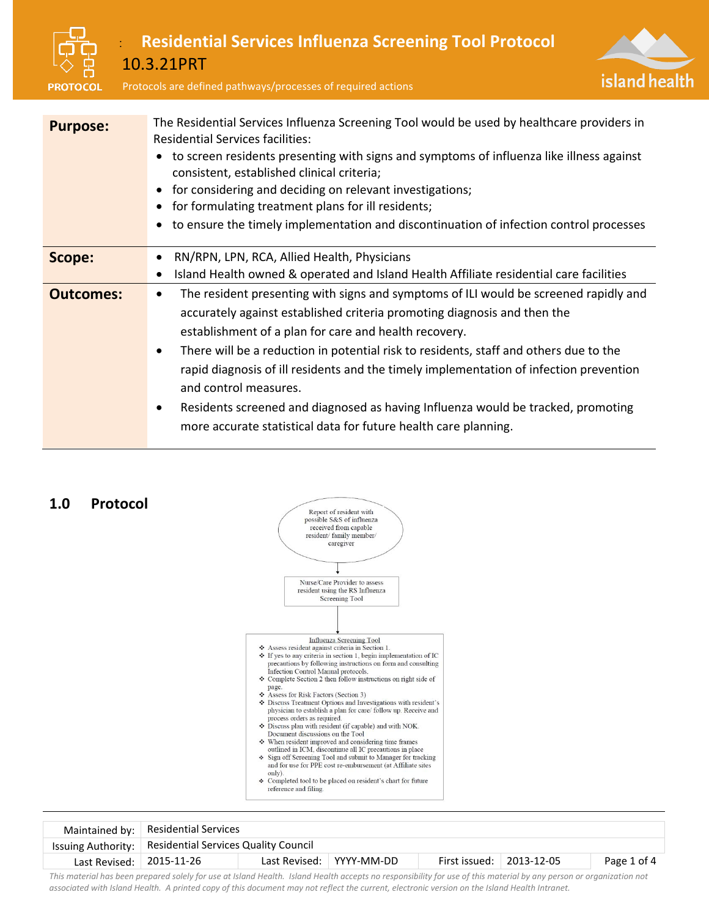



|                          | Maintained by: $ $ Residential Services                   |  |                            |                                  |  |             |  |  |
|--------------------------|-----------------------------------------------------------|--|----------------------------|----------------------------------|--|-------------|--|--|
|                          | Issuing Authority:   Residential Services Quality Council |  |                            |                                  |  |             |  |  |
| Last Revised: 2015-11-26 |                                                           |  | Last Revised:   YYYY-MM-DD | First issued: $\vert$ 2013-12-05 |  | Page 1 of 4 |  |  |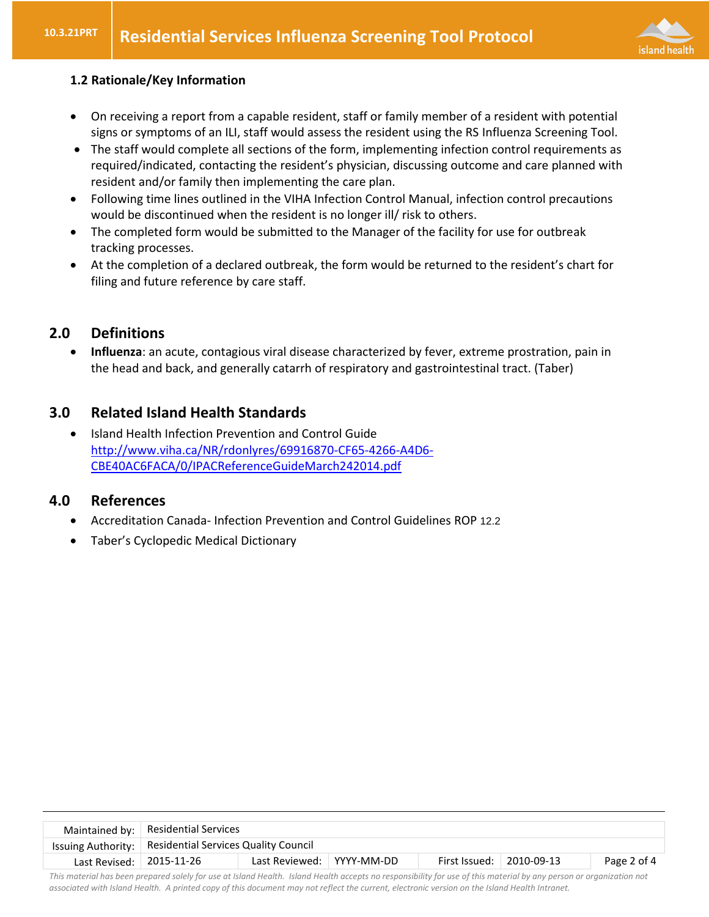

### **1.2 Rationale/Key Information**

- On receiving a report from a capable resident, staff or family member of a resident with potential signs or symptoms of an ILI, staff would assess the resident using the RS Influenza Screening Tool.
- The staff would complete all sections of the form, implementing infection control requirements as required/indicated, contacting the resident's physician, discussing outcome and care planned with resident and/or family then implementing the care plan.
- Following time lines outlined in the VIHA Infection Control Manual, infection control precautions would be discontinued when the resident is no longer ill/ risk to others.
- The completed form would be submitted to the Manager of the facility for use for outbreak tracking processes.
- At the completion of a declared outbreak, the form would be returned to the resident's chart for filing and future reference by care staff.

# **2.0 Definitions**

 **Influenza**: an acute, contagious viral disease characterized by fever, extreme prostration, pain in the head and back, and generally catarrh of respiratory and gastrointestinal tract. (Taber)

# **3.0 Related Island Health Standards**

• Island Health Infection Prevention and Control Guide [http://www.viha.ca/NR/rdonlyres/69916870-CF65-4266-A4D6-](http://www.viha.ca/NR/rdonlyres/69916870-CF65-4266-A4D6-CBE40AC6FACA/0/IPACReferenceGuideMarch242014.pdf) [CBE40AC6FACA/0/IPACReferenceGuideMarch242014.pdf](http://www.viha.ca/NR/rdonlyres/69916870-CF65-4266-A4D6-CBE40AC6FACA/0/IPACReferenceGuideMarch242014.pdf)

# **4.0 References**

- Accreditation Canada- Infection Prevention and Control Guidelines ROP 12.2
- Taber's Cyclopedic Medical Dictionary

|                          | Maintained by: $ $ Residential Services                   |                             |  |                                  |  |             |  |  |
|--------------------------|-----------------------------------------------------------|-----------------------------|--|----------------------------------|--|-------------|--|--|
|                          | Issuing Authority:   Residential Services Quality Council |                             |  |                                  |  |             |  |  |
| Last Revised: 2015-11-26 |                                                           | Last Reviewed:   YYYY-MM-DD |  | First Issued: $\vert$ 2010-09-13 |  | Page 2 of 4 |  |  |
|                          |                                                           |                             |  |                                  |  |             |  |  |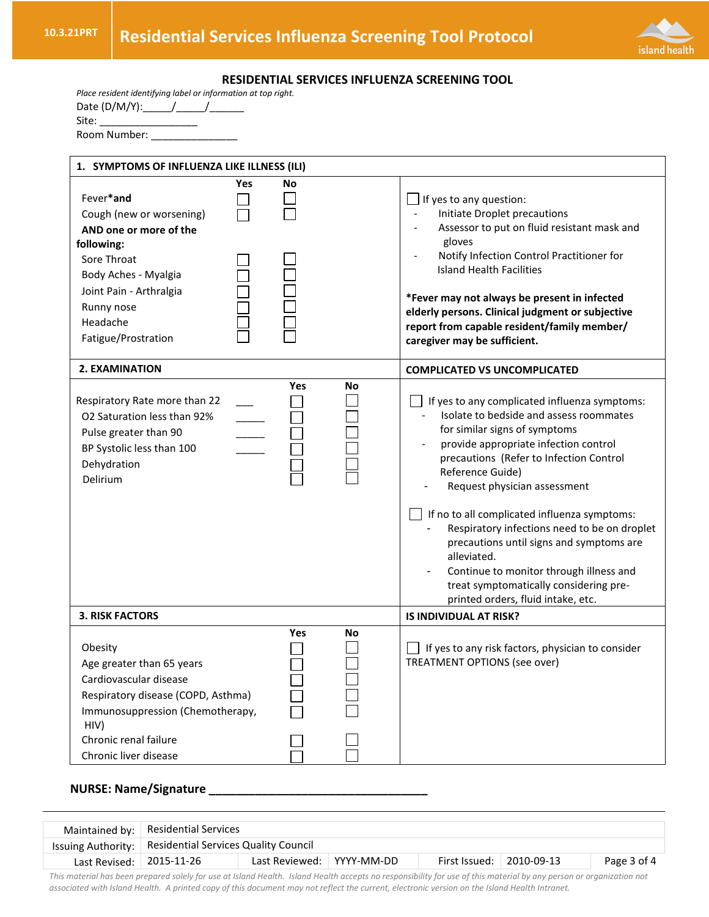

#### **RESIDENTIAL SERVICES INFLUENZA SCREENING TOOL**

| Place resident identifying label or information at top right. |
|---------------------------------------------------------------|
| Date $(D/M/Y)$ : /                                            |
| Site:                                                         |
| Room Number:                                                  |

| 1. SYMPTOMS OF INFLUENZA LIKE ILLNESS (ILI)                                                                                                                                                        |           |    |                                                                                                                                                                                                                                                                                                                                                                                                                                                                                                                                                         |  |  |  |  |
|----------------------------------------------------------------------------------------------------------------------------------------------------------------------------------------------------|-----------|----|---------------------------------------------------------------------------------------------------------------------------------------------------------------------------------------------------------------------------------------------------------------------------------------------------------------------------------------------------------------------------------------------------------------------------------------------------------------------------------------------------------------------------------------------------------|--|--|--|--|
| Fever*and<br>Cough (new or worsening)<br>AND one or more of the<br>following:<br>Sore Throat<br>Body Aches - Myalgia<br>Joint Pain - Arthralgia<br>Runny nose<br>Headache<br>Fatigue/Prostration   | Yes<br>No |    | If yes to any question:<br>Initiate Droplet precautions<br>Assessor to put on fluid resistant mask and<br>gloves<br>Notify Infection Control Practitioner for<br><b>Island Health Facilities</b><br>*Fever may not always be present in infected<br>elderly persons. Clinical judgment or subjective<br>report from capable resident/family member/<br>caregiver may be sufficient.                                                                                                                                                                     |  |  |  |  |
| 2. EXAMINATION                                                                                                                                                                                     |           |    | <b>COMPLICATED VS UNCOMPLICATED</b>                                                                                                                                                                                                                                                                                                                                                                                                                                                                                                                     |  |  |  |  |
| Respiratory Rate more than 22<br>O2 Saturation less than 92%<br>Pulse greater than 90<br>BP Systolic less than 100<br>Dehydration<br>Delirium                                                      | Yes       | No | If yes to any complicated influenza symptoms:<br>Isolate to bedside and assess roommates<br>for similar signs of symptoms<br>provide appropriate infection control<br>precautions (Refer to Infection Control<br>Reference Guide)<br>Request physician assessment<br>If no to all complicated influenza symptoms:<br>Respiratory infections need to be on droplet<br>precautions until signs and symptoms are<br>alleviated.<br>Continue to monitor through illness and<br>treat symptomatically considering pre-<br>printed orders, fluid intake, etc. |  |  |  |  |
| <b>3. RISK FACTORS</b>                                                                                                                                                                             |           |    | IS INDIVIDUAL AT RISK?                                                                                                                                                                                                                                                                                                                                                                                                                                                                                                                                  |  |  |  |  |
| Obesity<br>Age greater than 65 years<br>Cardiovascular disease<br>Respiratory disease (COPD, Asthma)<br>Immunosuppression (Chemotherapy,<br>HIV)<br>Chronic renal failure<br>Chronic liver disease | Yes       | No | If yes to any risk factors, physician to consider<br>TREATMENT OPTIONS (see over)                                                                                                                                                                                                                                                                                                                                                                                                                                                                       |  |  |  |  |

## **NURSE: Name/Signature \_\_\_\_\_\_\_\_\_\_\_\_\_\_\_\_\_\_\_\_\_\_\_\_\_\_\_\_\_\_\_\_\_**

|                          | Maintained by:   Residential Services                     |                           |  |                          |  |             |  |  |  |
|--------------------------|-----------------------------------------------------------|---------------------------|--|--------------------------|--|-------------|--|--|--|
|                          | Issuing Authority:   Residential Services Quality Council |                           |  |                          |  |             |  |  |  |
| Last Revised: 2015-11-26 |                                                           | Last Reviewed: YYYY-MM-DD |  | First Issued: 2010-09-13 |  | Page 3 of 4 |  |  |  |